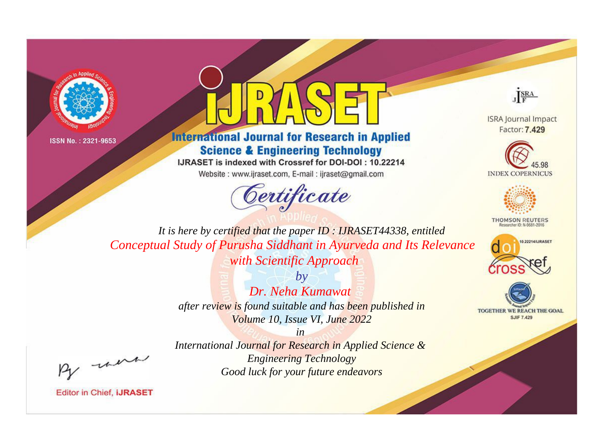



**International Journal for Research in Applied Science & Engineering Technology** 

IJRASET is indexed with Crossref for DOI-DOI: 10.22214

Website: www.ijraset.com, E-mail: ijraset@gmail.com





**ISRA Journal Impact** Factor: 7.429





**THOMSON REUTERS** 



TOGETHER WE REACH THE GOAL **SJIF 7.429** 

*It is here by certified that the paper ID : IJRASET44338, entitled Conceptual Study of Purusha Siddhant in Ayurveda and Its Relevance with Scientific Approach*

> *by Dr. Neha Kumawat after review is found suitable and has been published in Volume 10, Issue VI, June 2022*

, were

*International Journal for Research in Applied Science & Engineering Technology Good luck for your future endeavors*

*in*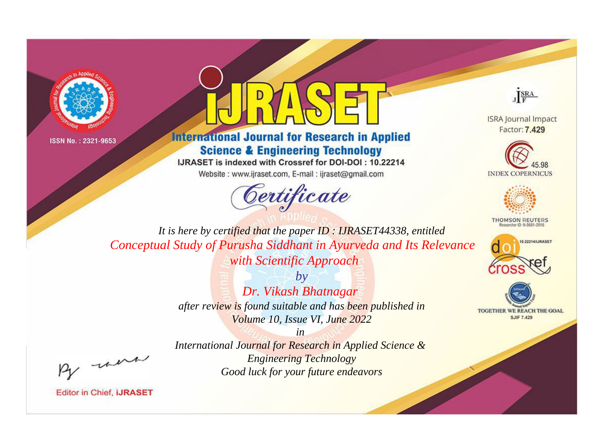



**International Journal for Research in Applied Science & Engineering Technology** 

IJRASET is indexed with Crossref for DOI-DOI: 10.22214

Website: www.ijraset.com, E-mail: ijraset@gmail.com





**ISRA Journal Impact** Factor: 7.429





**THOMSON REUTERS** 



TOGETHER WE REACH THE GOAL **SJIF 7.429** 

*It is here by certified that the paper ID : IJRASET44338, entitled Conceptual Study of Purusha Siddhant in Ayurveda and Its Relevance with Scientific Approach*

> *by Dr. Vikash Bhatnagar after review is found suitable and has been published in Volume 10, Issue VI, June 2022*

, un

*International Journal for Research in Applied Science & Engineering Technology Good luck for your future endeavors*

*in*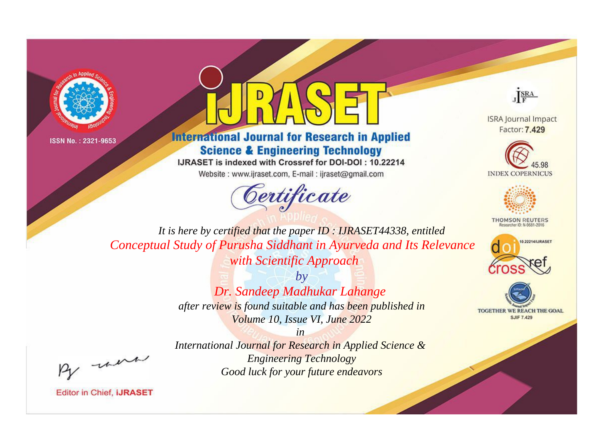



**International Journal for Research in Applied Science & Engineering Technology** 

IJRASET is indexed with Crossref for DOI-DOI: 10.22214

Website: www.ijraset.com, E-mail: ijraset@gmail.com





**ISRA Journal Impact** Factor: 7.429





**THOMSON REUTERS** 



TOGETHER WE REACH THE GOAL **SJIF 7.429** 

*It is here by certified that the paper ID : IJRASET44338, entitled Conceptual Study of Purusha Siddhant in Ayurveda and Its Relevance with Scientific Approach*

> *by Dr. Sandeep Madhukar Lahange after review is found suitable and has been published in Volume 10, Issue VI, June 2022*

, un

*International Journal for Research in Applied Science & Engineering Technology Good luck for your future endeavors*

*in*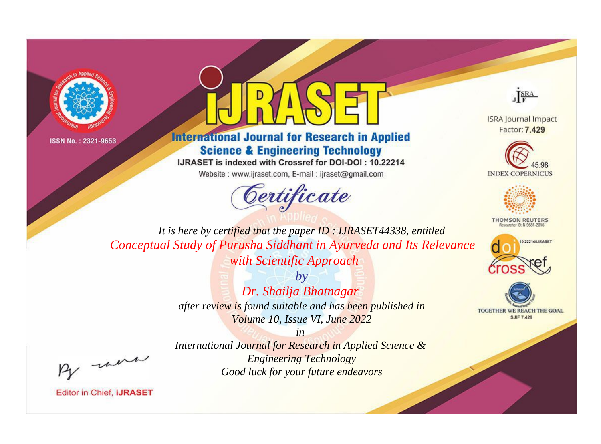



**International Journal for Research in Applied Science & Engineering Technology** 

IJRASET is indexed with Crossref for DOI-DOI: 10.22214

Website: www.ijraset.com, E-mail: ijraset@gmail.com





**ISRA Journal Impact** Factor: 7.429





**THOMSON REUTERS** 



TOGETHER WE REACH THE GOAL **SJIF 7.429** 

*It is here by certified that the paper ID : IJRASET44338, entitled Conceptual Study of Purusha Siddhant in Ayurveda and Its Relevance with Scientific Approach*

> *by Dr. Shailja Bhatnagar after review is found suitable and has been published in Volume 10, Issue VI, June 2022*

, un

*International Journal for Research in Applied Science & Engineering Technology Good luck for your future endeavors*

*in*